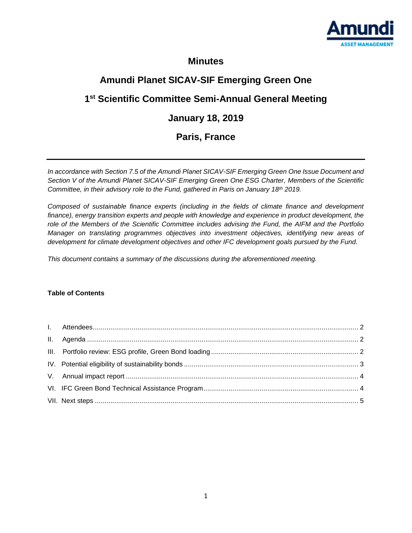

### **Minutes**

# **Amundi Planet SICAV-SIF Emerging Green One**

## **1 st Scientific Committee Semi-Annual General Meeting**

## **January 18, 2019**

## **Paris, France**

*In accordance with Section 7.5 of the Amundi Planet SICAV-SIF Emerging Green One Issue Document and Section V of the Amundi Planet SICAV-SIF Emerging Green One ESG Charter, Members of the Scientific Committee, in their advisory role to the Fund, gathered in Paris on January 18th 2019.*

*Composed of sustainable finance experts (including in the fields of climate finance and development*  finance), energy transition experts and people with knowledge and experience in product development, the *role of the Members of the Scientific Committee includes advising the Fund, the AIFM and the Portfolio Manager on translating programmes objectives into investment objectives, identifying new areas of development for climate development objectives and other IFC development goals pursued by the Fund.*

*This document contains a summary of the discussions during the aforementioned meeting.* 

#### **Table of Contents**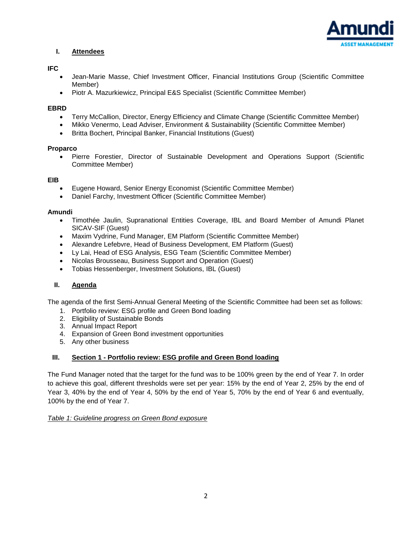

#### <span id="page-1-0"></span>**I. Attendees**

#### **IFC**

- Jean-Marie Masse, Chief Investment Officer, Financial Institutions Group (Scientific Committee Member)
- Piotr A. Mazurkiewicz, Principal E&S Specialist (Scientific Committee Member)

#### **EBRD**

- Terry McCallion, Director, Energy Efficiency and Climate Change (Scientific Committee Member)
- Mikko Venermo, Lead Adviser, Environment & Sustainability (Scientific Committee Member)
- Britta Bochert, Principal Banker, Financial Institutions (Guest)

#### **Proparco**

 Pierre Forestier, Director of Sustainable Development and Operations Support (Scientific Committee Member)

#### **EIB**

- Eugene Howard, Senior Energy Economist (Scientific Committee Member)
- Daniel Farchy, Investment Officer (Scientific Committee Member)

#### **Amundi**

- Timothée Jaulin, Supranational Entities Coverage, IBL and Board Member of Amundi Planet SICAV-SIF (Guest)
- Maxim Vydrine, Fund Manager, EM Platform (Scientific Committee Member)
- Alexandre Lefebvre, Head of Business Development, EM Platform (Guest)
- Ly Lai, Head of ESG Analysis, ESG Team (Scientific Committee Member)
- Nicolas Brousseau, Business Support and Operation (Guest)
- Tobias Hessenberger, Investment Solutions, IBL (Guest)

#### <span id="page-1-1"></span>**II. Agenda**

The agenda of the first Semi-Annual General Meeting of the Scientific Committee had been set as follows:

- 1. Portfolio review: ESG profile and Green Bond loading
- 2. Eligibility of Sustainable Bonds
- 3. Annual Impact Report
- 4. Expansion of Green Bond investment opportunities
- 5. Any other business

#### <span id="page-1-2"></span>**III. Section 1 - Portfolio review: ESG profile and Green Bond loading**

The Fund Manager noted that the target for the fund was to be 100% green by the end of Year 7. In order to achieve this goal, different thresholds were set per year: 15% by the end of Year 2, 25% by the end of Year 3, 40% by the end of Year 4, 50% by the end of Year 5, 70% by the end of Year 6 and eventually, 100% by the end of Year 7.

#### *Table 1: Guideline progress on Green Bond exposure*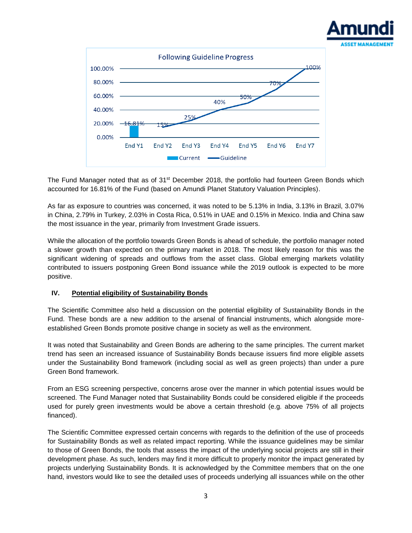



The Fund Manager noted that as of 31<sup>st</sup> December 2018, the portfolio had fourteen Green Bonds which accounted for 16.81% of the Fund (based on Amundi Planet Statutory Valuation Principles).

As far as exposure to countries was concerned, it was noted to be 5.13% in India, 3.13% in Brazil, 3.07% in China, 2.79% in Turkey, 2.03% in Costa Rica, 0.51% in UAE and 0.15% in Mexico. India and China saw the most issuance in the year, primarily from Investment Grade issuers.

While the allocation of the portfolio towards Green Bonds is ahead of schedule, the portfolio manager noted a slower growth than expected on the primary market in 2018. The most likely reason for this was the significant widening of spreads and outflows from the asset class. Global emerging markets volatility contributed to issuers postponing Green Bond issuance while the 2019 outlook is expected to be more positive.

#### <span id="page-2-0"></span>**IV. Potential eligibility of Sustainability Bonds**

The Scientific Committee also held a discussion on the potential eligibility of Sustainability Bonds in the Fund. These bonds are a new addition to the arsenal of financial instruments, which alongside moreestablished Green Bonds promote positive change in society as well as the environment.

It was noted that Sustainability and Green Bonds are adhering to the same principles. The current market trend has seen an increased issuance of Sustainability Bonds because issuers find more eligible assets under the Sustainability Bond framework (including social as well as green projects) than under a pure Green Bond framework.

From an ESG screening perspective, concerns arose over the manner in which potential issues would be screened. The Fund Manager noted that Sustainability Bonds could be considered eligible if the proceeds used for purely green investments would be above a certain threshold (e.g. above 75% of all projects financed).

The Scientific Committee expressed certain concerns with regards to the definition of the use of proceeds for Sustainability Bonds as well as related impact reporting. While the issuance guidelines may be similar to those of Green Bonds, the tools that assess the impact of the underlying social projects are still in their development phase. As such, lenders may find it more difficult to properly monitor the impact generated by projects underlying Sustainability Bonds. It is acknowledged by the Committee members that on the one hand, investors would like to see the detailed uses of proceeds underlying all issuances while on the other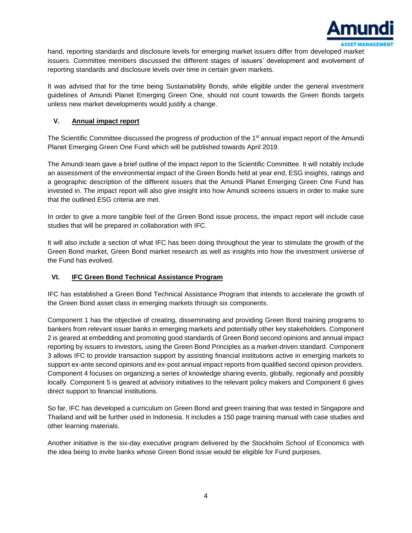

hand, reporting standards and disclosure levels for emerging market issuers differ from developed market issuers. Committee members discussed the different stages of issuers' development and evolvement of reporting standards and disclosure levels over time in certain given markets.

It was advised that for the time being Sustainability Bonds, while eligible under the general investment guidelines of Amundi Planet Emerging Green One, should not count towards the Green Bonds targets unless new market developments would justify a change.

#### <span id="page-3-0"></span>**V. Annual impact report**

The Scientific Committee discussed the progress of production of the 1<sup>st</sup> annual impact report of the Amundi Planet Emerging Green One Fund which will be published towards April 2019.

The Amundi team gave a brief outline of the impact report to the Scientific Committee. It will notably include an assessment of the environmental impact of the Green Bonds held at year end, ESG insights, ratings and a geographic description of the different issuers that the Amundi Planet Emerging Green One Fund has invested in. The impact report will also give insight into how Amundi screens issuers in order to make sure that the outlined ESG criteria are met.

In order to give a more tangible feel of the Green Bond issue process, the impact report will include case studies that will be prepared in collaboration with IFC.

It will also include a section of what IFC has been doing throughout the year to stimulate the growth of the Green Bond market, Green Bond market research as well as insights into how the investment universe of the Fund has evolved.

#### <span id="page-3-1"></span>**VI. IFC Green Bond Technical Assistance Program**

IFC has established a Green Bond Technical Assistance Program that intends to accelerate the growth of the Green Bond asset class in emerging markets through six components.

Component 1 has the objective of creating, disseminating and providing Green Bond training programs to bankers from relevant issuer banks in emerging markets and potentially other key stakeholders. Component 2 is geared at embedding and promoting good standards of Green Bond second opinions and annual impact reporting by issuers to investors, using the Green Bond Principles as a market-driven standard. Component 3 allows IFC to provide transaction support by assisting financial institutions active in emerging markets to support ex-ante second opinions and ex-post annual impact reports from qualified second opinion providers. Component 4 focuses on organizing a series of knowledge sharing events, globally, regionally and possibly locally. Component 5 is geared at advisory initiatives to the relevant policy makers and Component 6 gives direct support to financial institutions.

So far, IFC has developed a curriculum on Green Bond and green training that was tested in Singapore and Thailand and will be further used in Indonesia. It includes a 150 page training manual with case studies and other learning materials.

Another initiative is the six-day executive program delivered by the Stockholm School of Economics with the idea being to invite banks whose Green Bond issue would be eligible for Fund purposes.